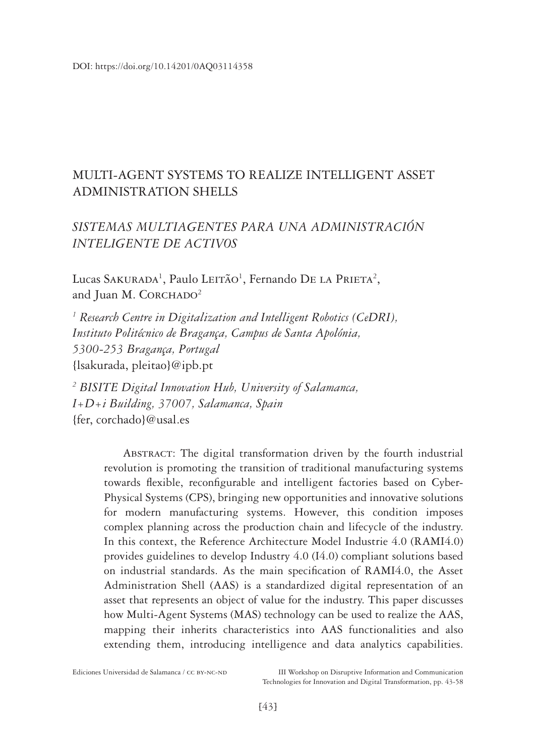## MULTI-AGENT SYSTEMS TO REALIZE INTELLIGENT ASSET ADMINISTRATION SHELLS

# *SISTEMAS MULTIAGENTES PARA UNA ADMINISTRACIÓN INTELIGENTE DE ACTIVOS*

Lucas SAKURADA<sup>1</sup>, Paulo LEITÃO<sup>1</sup>, Fernando DE LA PRIETA<sup>2</sup>, and Juan M. CORCHADO<sup>2</sup>

<sup>1</sup> Research Centre in Digitalization and Intelligent Robotics (CeDRI), *Instituto Politécnico de Bragança, Campus de Santa Apolónia, 5300-253 Bragança, Portugal* [{lsakurada,](mailto:lsakurada%40ipb.pt?subject=) [pleitao}](mailto:pleitao%40ipb.pt?subject=)@ipb.pt

*2 BISITE Digital Innovation Hub, University of Salamanca, I+D+i Building, 37007, Salamanca, Spain* [{fer,](mailto:fer%40usal.es?subject=) [corchado](mailto:corchado%40usal.es?subject=)}@usal.es

> ABSTRACT: The digital transformation driven by the fourth industrial revolution is promoting the transition of traditional manufacturing systems towards flexible, reconfigurable and intelligent factories based on Cyber-Physical Systems (CPS), bringing new opportunities and innovative solutions for modern manufacturing systems. However, this condition imposes complex planning across the production chain and lifecycle of the industry. In this context, the Reference Architecture Model Industrie 4.0 (RAMI4.0) provides guidelines to develop Industry 4.0 (I4.0) compliant solutions based on industrial standards. As the main specification of RAMI4.0, the Asset Administration Shell (AAS) is a standardized digital representation of an asset that represents an object of value for the industry. This paper discusses how Multi-Agent Systems (MAS) technology can be used to realize the AAS, mapping their inherits characteristics into AAS functionalities and also extending them, introducing intelligence and data analytics capabilities.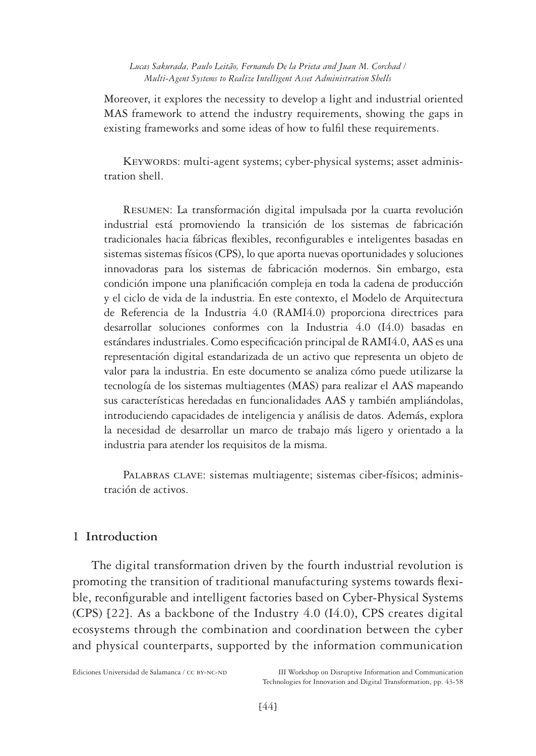Moreover, it explores the necessity to develop a light and industrial oriented MAS framework to attend the industry requirements, showing the gaps in existing frameworks and some ideas of how to fulfil these requirements.

KEYWORDS: multi-agent systems; cyber-physical systems; asset administration shell.

Resumen: La transformación digital impulsada por la cuarta revolución industrial está promoviendo la transición de los sistemas de fabricación tradicionales hacia fábricas flexibles, reconfigurables e inteligentes basadas en sistemas sistemas físicos (CPS), lo que aporta nuevas oportunidades y soluciones innovadoras para los sistemas de fabricación modernos. Sin embargo, esta condición impone una planificación compleja en toda la cadena de producción y el ciclo de vida de la industria. En este contexto, el Modelo de Arquitectura de Referencia de la Industria 4.0 (RAMI4.0) proporciona directrices para desarrollar soluciones conformes con la Industria 4.0 (I4.0) basadas en estándares industriales. Como especificación principal de RAMI4.0, AAS es una representación digital estandarizada de un activo que representa un objeto de valor para la industria. En este documento se analiza cómo puede utilizarse la tecnología de los sistemas multiagentes (MAS) para realizar el AAS mapeando sus características heredadas en funcionalidades AAS y también ampliándolas, introduciendo capacidades de inteligencia y análisis de datos. Además, explora la necesidad de desarrollar un marco de trabajo más ligero y orientado a la industria para atender los requisitos de la misma.

Palabras clave: sistemas multiagente; sistemas ciber-físicos; administración de activos.

### **1 Introduction**

The digital transformation driven by the fourth industrial revolution is promoting the transition of traditional manufacturing systems towards flexible, reconfigurable and intelligent factories based on Cyber-Physical Systems (CPS) [22]. As a backbone of the Industry 4.0 (I4.0), CPS creates digital ecosystems through the combination and coordination between the cyber and physical counterparts, supported by the information communication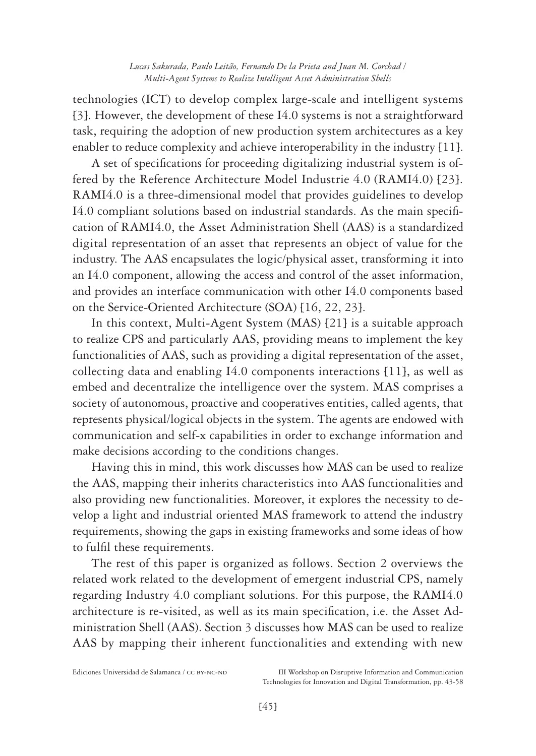technologies (ICT) to develop complex large-scale and intelligent systems [3]. However, the development of these I4.0 systems is not a straightforward task, requiring the adoption of new production system architectures as a key enabler to reduce complexity and achieve interoperability in the industry [11].

A set of specifications for proceeding digitalizing industrial system is offered by the Reference Architecture Model Industrie 4.0 (RAMI4.0) [23]. RAMI4.0 is a three-dimensional model that provides guidelines to develop I4.0 compliant solutions based on industrial standards. As the main specification of RAMI4.0, the Asset Administration Shell (AAS) is a standardized digital representation of an asset that represents an object of value for the industry. The AAS encapsulates the logic/physical asset, transforming it into an I4.0 component, allowing the access and control of the asset information, and provides an interface communication with other I4.0 components based on the Service-Oriented Architecture (SOA) [16, 22, 23].

In this context, Multi-Agent System (MAS) [21] is a suitable approach to realize CPS and particularly AAS, providing means to implement the key functionalities of AAS, such as providing a digital representation of the asset, collecting data and enabling I4.0 components interactions [11], as well as embed and decentralize the intelligence over the system. MAS comprises a society of autonomous, proactive and cooperatives entities, called agents, that represents physical/logical objects in the system. The agents are endowed with communication and self-x capabilities in order to exchange information and make decisions according to the conditions changes.

Having this in mind, this work discusses how MAS can be used to realize the AAS, mapping their inherits characteristics into AAS functionalities and also providing new functionalities. Moreover, it explores the necessity to develop a light and industrial oriented MAS framework to attend the industry requirements, showing the gaps in existing frameworks and some ideas of how to fulfil these requirements.

The rest of this paper is organized as follows. Section 2 overviews the related work related to the development of emergent industrial CPS, namely regarding Industry 4.0 compliant solutions. For this purpose, the RAMI4.0 architecture is re-visited, as well as its main specification, i.e. the Asset Administration Shell (AAS). Section 3 discusses how MAS can be used to realize AAS by mapping their inherent functionalities and extending with new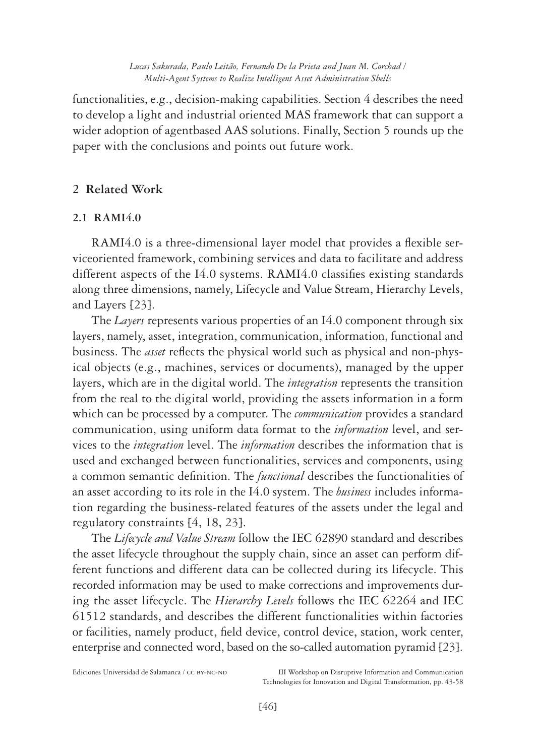functionalities, e.g., decision-making capabilities. Section 4 describes the need to develop a light and industrial oriented MAS framework that can support a wider adoption of agentbased AAS solutions. Finally, Section 5 rounds up the paper with the conclusions and points out future work.

## **2 Related Work**

## **2.1 RAMI4.0**

RAMI4.0 is a three-dimensional layer model that provides a flexible serviceoriented framework, combining services and data to facilitate and address different aspects of the I4.0 systems. RAMI4.0 classifies existing standards along three dimensions, namely, Lifecycle and Value Stream, Hierarchy Levels, and Layers [23].

The *Layers* represents various properties of an I4.0 component through six layers, namely, asset, integration, communication, information, functional and business. The *asset* reflects the physical world such as physical and non-physical objects (e.g., machines, services or documents), managed by the upper layers, which are in the digital world. The *integration* represents the transition from the real to the digital world, providing the assets information in a form which can be processed by a computer. The *communication* provides a standard communication, using uniform data format to the *information* level, and services to the *integration* level. The *information* describes the information that is used and exchanged between functionalities, services and components, using a common semantic definition. The *functional* describes the functionalities of an asset according to its role in the I4.0 system. The *business* includes information regarding the business-related features of the assets under the legal and regulatory constraints [4, 18, 23].

The *Lifecycle and Value Stream* follow the IEC 62890 standard and describes the asset lifecycle throughout the supply chain, since an asset can perform different functions and different data can be collected during its lifecycle. This recorded information may be used to make corrections and improvements during the asset lifecycle. The *Hierarchy Levels* follows the IEC 62264 and IEC 61512 standards, and describes the different functionalities within factories or facilities, namely product, field device, control device, station, work center, enterprise and connected word, based on the so-called automation pyramid [23].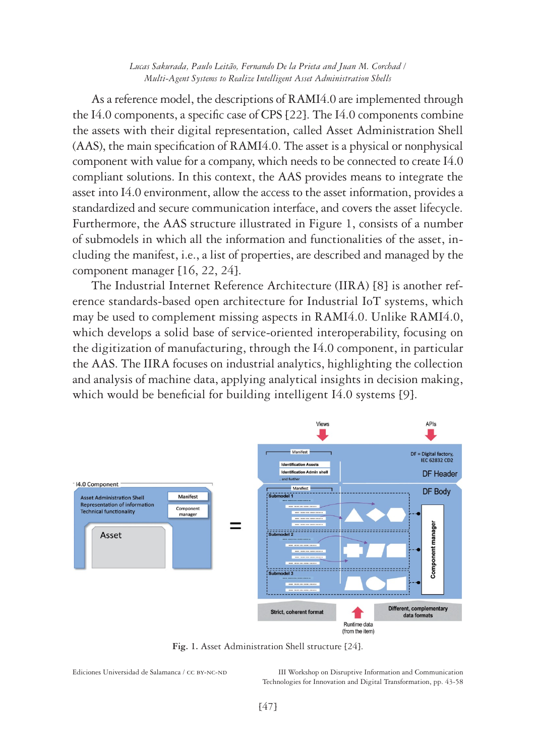As a reference model, the descriptions of RAMI4.0 are implemented through the I4.0 components, a specific case of CPS [22]. The I4.0 components combine the assets with their digital representation, called Asset Administration Shell (AAS), the main specification of RAMI4.0. The asset is a physical or nonphysical component with value for a company, which needs to be connected to create I4.0 compliant solutions. In this context, the AAS provides means to integrate the asset into I4.0 environment, allow the access to the asset information, provides a standardized and secure communication interface, and covers the asset lifecycle. Furthermore, the AAS structure illustrated in Figure 1, consists of a number of submodels in which all the information and functionalities of the asset, including the manifest, i.e., a list of properties, are described and managed by the component manager [16, 22, 24].

The Industrial Internet Reference Architecture (IIRA) [8] is another reference standards-based open architecture for Industrial IoT systems, which may be used to complement missing aspects in RAMI4.0. Unlike RAMI4.0, which develops a solid base of service-oriented interoperability, focusing on the digitization of manufacturing, through the I4.0 component, in particular the AAS. The IIRA focuses on industrial analytics, highlighting the collection and analysis of machine data, applying analytical insights in decision making, which would be beneficial for building intelligent  $I4.0$  systems  $[9]$ .



**Fig. 1.** Asset Administration Shell structure [24]. **Fig. 1.** Asset Administration Shell structure [24].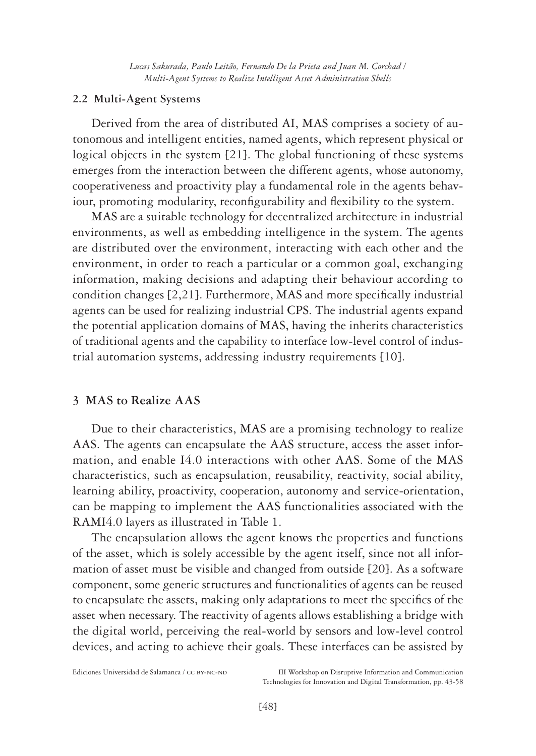### **2.2 Multi-Agent Systems**

Derived from the area of distributed AI, MAS comprises a society of autonomous and intelligent entities, named agents, which represent physical or logical objects in the system [21]. The global functioning of these systems emerges from the interaction between the different agents, whose autonomy, cooperativeness and proactivity play a fundamental role in the agents behaviour, promoting modularity, reconfigurability and flexibility to the system.

MAS are a suitable technology for decentralized architecture in industrial environments, as well as embedding intelligence in the system. The agents are distributed over the environment, interacting with each other and the environment, in order to reach a particular or a common goal, exchanging information, making decisions and adapting their behaviour according to condition changes [2,21]. Furthermore, MAS and more specifically industrial agents can be used for realizing industrial CPS. The industrial agents expand the potential application domains of MAS, having the inherits characteristics of traditional agents and the capability to interface low-level control of industrial automation systems, addressing industry requirements [10].

### **3 MAS to Realize AAS**

Due to their characteristics, MAS are a promising technology to realize AAS. The agents can encapsulate the AAS structure, access the asset information, and enable I4.0 interactions with other AAS. Some of the MAS characteristics, such as encapsulation, reusability, reactivity, social ability, learning ability, proactivity, cooperation, autonomy and service-orientation, can be mapping to implement the AAS functionalities associated with the RAMI4.0 layers as illustrated in Table 1.

The encapsulation allows the agent knows the properties and functions of the asset, which is solely accessible by the agent itself, since not all information of asset must be visible and changed from outside [20]. As a software component, some generic structures and functionalities of agents can be reused to encapsulate the assets, making only adaptations to meet the specifics of the asset when necessary. The reactivity of agents allows establishing a bridge with the digital world, perceiving the real-world by sensors and low-level control devices, and acting to achieve their goals. These interfaces can be assisted by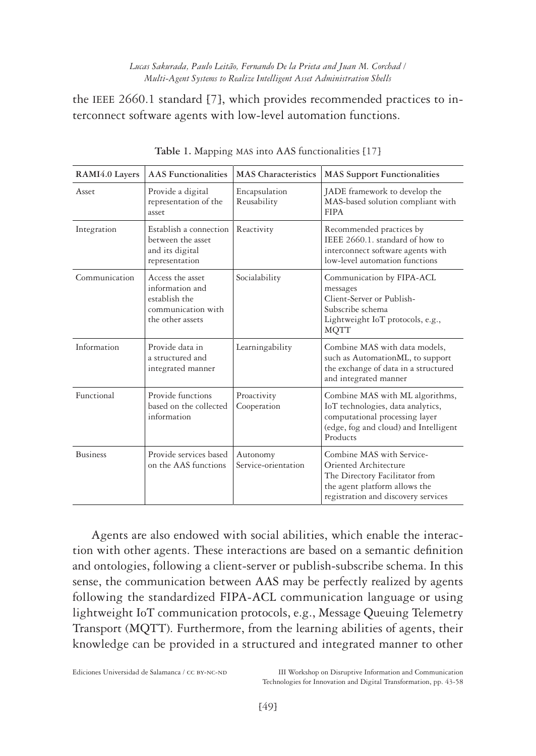the IEEE 2660.1 standard [7], which provides recommended practices to interconnect software agents with low-level automation functions.

| RAMI4.0 Layers  | <b>AAS</b> Functionalities                                                                     | <b>MAS</b> Characteristics      | <b>MAS</b> Support Functionalities                                                                                                                           |  |
|-----------------|------------------------------------------------------------------------------------------------|---------------------------------|--------------------------------------------------------------------------------------------------------------------------------------------------------------|--|
| Asset           | Provide a digital<br>representation of the<br>asset                                            | Encapsulation<br>Reusability    | JADE framework to develop the<br>MAS-based solution compliant with<br><b>FIPA</b>                                                                            |  |
| Integration     | Establish a connection<br>between the asset<br>and its digital<br>representation               | Reactivity                      | Recommended practices by<br>IEEE 2660.1. standard of how to<br>interconnect software agents with<br>low-level automation functions                           |  |
| Communication   | Access the asset<br>information and<br>establish the<br>communication with<br>the other assets | Socialability                   | Communication by FIPA-ACL<br>messages<br>Client-Server or Publish-<br>Subscribe schema<br>Lightweight IoT protocols, e.g.,<br><b>MOTT</b>                    |  |
| Information     | Provide data in<br>a structured and<br>integrated manner                                       | Learningability                 | Combine MAS with data models,<br>such as AutomationML, to support<br>the exchange of data in a structured<br>and integrated manner                           |  |
| Functional      | Provide functions<br>based on the collected<br>information                                     | Proactivity<br>Cooperation      | Combine MAS with ML algorithms,<br>IoT technologies, data analytics,<br>computational processing layer<br>(edge, fog and cloud) and Intelligent<br>Products  |  |
| <b>Business</b> | Provide services based<br>on the AAS functions                                                 | Autonomy<br>Service-orientation | Combine MAS with Service-<br>Oriented Architecture<br>The Directory Facilitator from<br>the agent platform allows the<br>registration and discovery services |  |

|  |  | Table 1. Mapping MAS into AAS functionalities [17] |  |
|--|--|----------------------------------------------------|--|
|  |  |                                                    |  |

Agents are also endowed with social abilities, which enable the interaction with other agents. These interactions are based on a semantic definition and ontologies, following a client-server or publish-subscribe schema. In this sense, the communication between AAS may be perfectly realized by agents following the standardized FIPA-ACL communication language or using lightweight IoT communication protocols, e.g., Message Queuing Telemetry Transport (MQTT). Furthermore, from the learning abilities of agents, their knowledge can be provided in a structured and integrated manner to other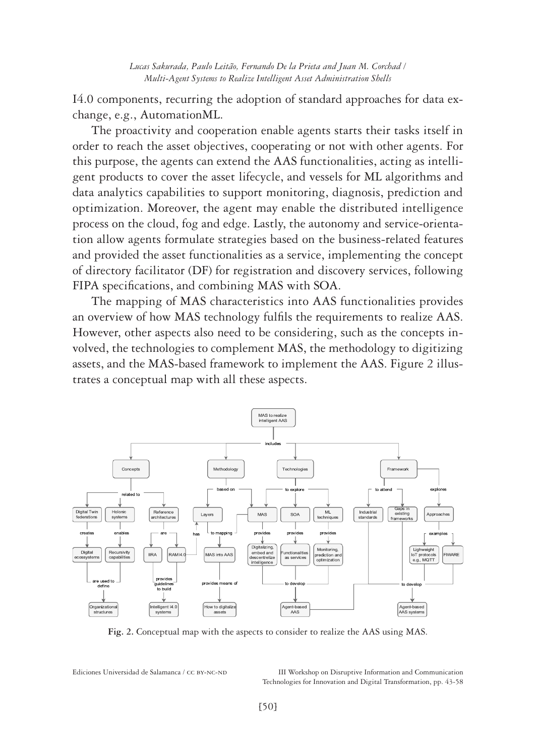I4.0 components, recurring the adoption of standard approaches for data exchange, e.g., AutomationML.

The proactivity and cooperation enable agents starts their tasks itself in order to reach the asset objectives, cooperating or not with other agents. For this purpose, the agents can extend the AAS functionalities, acting as intelligent products to cover the asset lifecycle, and vessels for ML algorithms and data analytics capabilities to support monitoring, diagnosis, prediction and optimization. Moreover, the agent may enable the distributed intelligence process on the cloud, fog and edge. Lastly, the autonomy and service-orientation allow agents formulate strategies based on the business-related features and provided the asset functionalities as a service, implementing the concept of directory facilitator (DF) for registration and discovery services, following FIPA specifications, and combining MAS with SOA. and provided the asset run

The mapping of MAS characteristics into AAS functionalities provides The mapping of MAS characteristics into AAS functionalities provides an overview of how MAS technology fulfils the requirements to realize AAS. However, other aspects also need to be considering, such as the concepts involved, the technologies to complement MAS, the methodology to digitizing assets, and the MAS-based framework to implement the AAS. Figure 2 illustrates a conceptual map with all these aspects. Ine mapping of MAS characteristics into AAS functionalities provides



**Fig. 2.** Conceptual map with the aspects to consider to realize the AAS using MAS.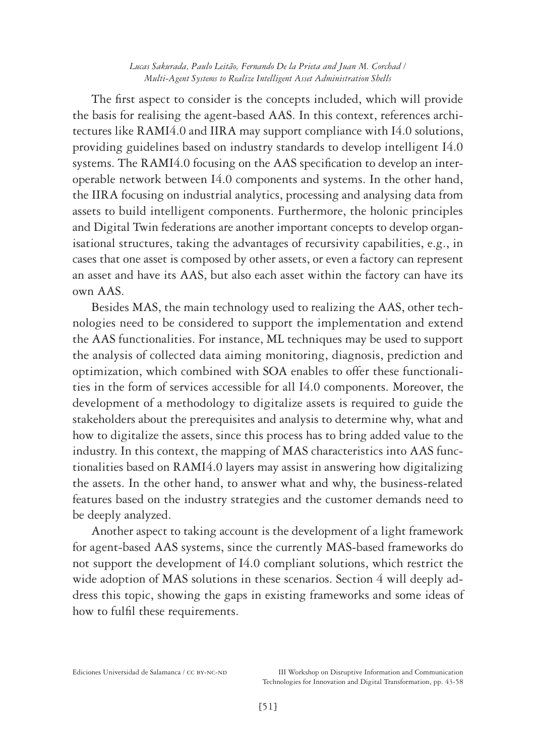The first aspect to consider is the concepts included, which will provide the basis for realising the agent-based AAS. In this context, references architectures like RAMI4.0 and IIRA may support compliance with I4.0 solutions, providing guidelines based on industry standards to develop intelligent I4.0 systems. The RAMI4.0 focusing on the AAS specification to develop an interoperable network between I4.0 components and systems. In the other hand, the IIRA focusing on industrial analytics, processing and analysing data from assets to build intelligent components. Furthermore, the holonic principles and Digital Twin federations are another important concepts to develop organisational structures, taking the advantages of recursivity capabilities, e.g., in cases that one asset is composed by other assets, or even a factory can represent an asset and have its AAS, but also each asset within the factory can have its own AAS.

Besides MAS, the main technology used to realizing the AAS, other technologies need to be considered to support the implementation and extend the AAS functionalities. For instance, ML techniques may be used to support the analysis of collected data aiming monitoring, diagnosis, prediction and optimization, which combined with SOA enables to offer these functionalities in the form of services accessible for all I4.0 components. Moreover, the development of a methodology to digitalize assets is required to guide the stakeholders about the prerequisites and analysis to determine why, what and how to digitalize the assets, since this process has to bring added value to the industry. In this context, the mapping of MAS characteristics into AAS functionalities based on RAMI4.0 layers may assist in answering how digitalizing the assets. In the other hand, to answer what and why, the business-related features based on the industry strategies and the customer demands need to be deeply analyzed.

Another aspect to taking account is the development of a light framework for agent-based AAS systems, since the currently MAS-based frameworks do not support the development of I4.0 compliant solutions, which restrict the wide adoption of MAS solutions in these scenarios. Section 4 will deeply address this topic, showing the gaps in existing frameworks and some ideas of how to fulfil these requirements.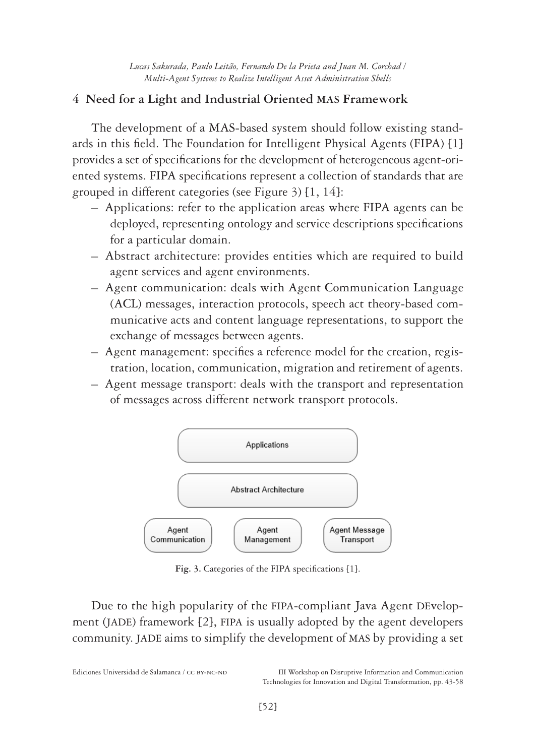## **4 Need for a Light and Industrial Oriented MAS Framework**

The development of a MAS-based system should follow existing standards in this field. The Foundation for Intelligent Physical Agents (FIPA) [1] provides a set of specifications for the development of heterogeneous agent-oriented systems. FIPA specifications represent a collection of standards that are grouped in different categories (see Figure 3) [1, 14]:

- Applications: refer to the application areas where FIPA agents can be deployed, representing ontology and service descriptions specifications for a particular domain.
- Abstract architecture: provides entities which are required to build agent services and agent environments.
- Agent communication: deals with Agent Communication Language (ACL) messages, interaction protocols, speech act theory-based communicative acts and content language representations, to support the exchange of messages between agents.
- Agent management: specifies a reference model for the creation, registration, location, communication, migration and retirement of agents.
- Agent message transport: deals with the transport and representation of messages across different network transport protocols.



**Fig. 3.** Categories of the FIPA specifications [1]. **Fig. 3.** Categories of the FIPA specifications [1].

Due to the high popularity of the FIPA-compliant Java Agent DEvelopment (JADE) framework [2], FIPA is usually adopted by the agent developers community. JADE aims to simplify the development of MAS by providing a set services and agents in compliance with the FIPA specifications, e.g. naming ser-

Ediciones Universidad de Salamanca / cc by-nc-nd III Workshop on Disruptive Information and Communication diciones Universidad de Salamanca / CC BY-NC-ND [11 Workshop on Disruptive Information and Communication)<br>Technologies for Innovation and Digital Transformation, pp. 43-58  $\frac{c}{\sqrt{11}}$  and  $\frac{c}{\sqrt{11}}$  to support the Java $\frac{c}{\sqrt{11}}$  to support the  $\frac{c}{\sqrt{11}}$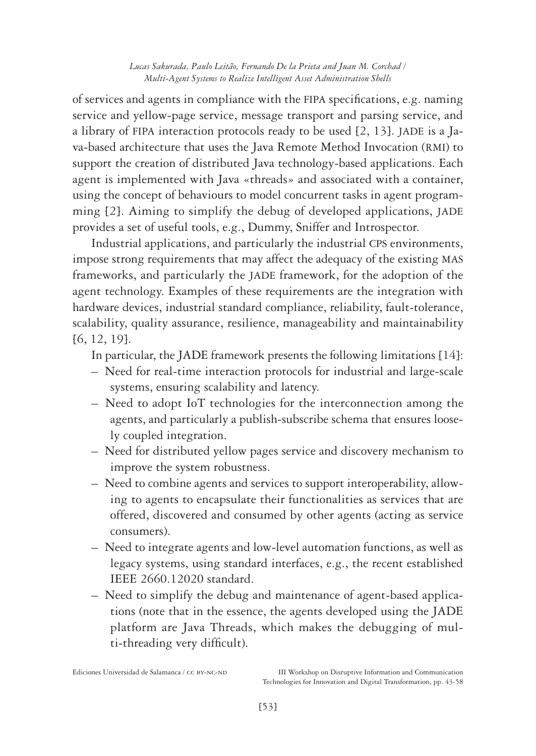of services and agents in compliance with the FIPA specifications, e.g. naming service and yellow-page service, message transport and parsing service, and a library of FIPA interaction protocols ready to be used [2, 13]. JADE is a Java-based architecture that uses the Java Remote Method Invocation (RMI) to support the creation of distributed Java technology-based applications. Each agent is implemented with Java «threads» and associated with a container, using the concept of behaviours to model concurrent tasks in agent programming [2]. Aiming to simplify the debug of developed applications, JADE provides a set of useful tools, e.g., Dummy, Sniffer and Introspector.

Industrial applications, and particularly the industrial CPS environments, impose strong requirements that may affect the adequacy of the existing MAS frameworks, and particularly the JADE framework, for the adoption of the agent technology. Examples of these requirements are the integration with hardware devices, industrial standard compliance, reliability, fault-tolerance, scalability, quality assurance, resilience, manageability and maintainability [6, 12, 19].

In particular, the JADE framework presents the following limitations [14]:

- Need for real-time interaction protocols for industrial and large-scale systems, ensuring scalability and latency.
- Need to adopt IoT technologies for the interconnection among the agents, and particularly a publish-subscribe schema that ensures loosely coupled integration.
- Need for distributed yellow pages service and discovery mechanism to improve the system robustness.
- Need to combine agents and services to support interoperability, allowing to agents to encapsulate their functionalities as services that are offered, discovered and consumed by other agents (acting as service consumers).
- Need to integrate agents and low-level automation functions, as well as legacy systems, using standard interfaces, e.g., the recent established IEEE 2660.12020 standard.
- Need to simplify the debug and maintenance of agent-based applications (note that in the essence, the agents developed using the JADE platform are Java Threads, which makes the debugging of multi-threading very difficult).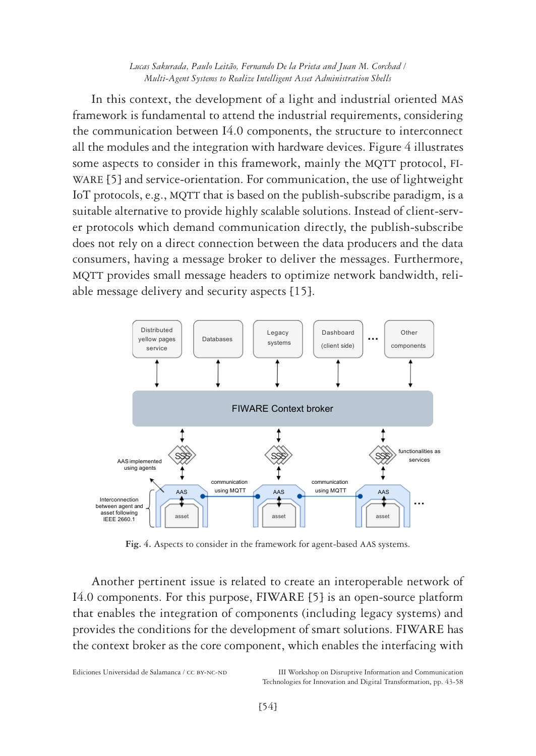#### *Lucas Sakurada, Paulo Leitão, Fernando De la Prieta and Juan M. Corchad / Multi-Agent Systems to Realize Intelligent Asset Administration Shells* In this context, the development of a light and industrial oriented MAS

In this context, the development of a light and industrial oriented MAS framework is fundamental to attend the industrial requirements, considering the communication between I4.0 components, the structure to interconnect all the modules and the integration with hardware devices. Figure 4 illustrates all the modules and the integration with hardware devices. Figure 4 illustrates an the modules and the integration with hardware devices. Figure 4 mustiates<br>some aspects to consider in this framework, mainly the MQTT protocol, FIsome aspects to consider in this framework, manny the moral protocol, FI-WARE [5] and service-orientation. For communication, the use of lightweight while [3] and service-orientation. For communication, the use of fightweight<br>IoT protocols, e.g., MQTT that is based on the publish-subscribe paradigm, is a for protocols, e.g.,  $m\sqrt{1}$  that is based on the publish-subscribe paradigm, is a suitable alternative to provide highly scalable solutions. Instead of client-servsuitable attentative to provide highly sealable solutions. Instead of chem-serv-<br>er protocols which demand communication directly, the publish-subscribe er prococols which definand communication directly, the publish-subscribe does not rely on a direct connection between the data producers and the data consumers, having a message broker to deliver the messages. Furthermore, consumers, having a message broker to deriver the messages. I difficultion,<br>MQTT provides small message headers to optimize network bandwidth, reliable message delivery and security aspects [15]. framework is fundamental to attend the industrial regular requirements, considering  $\mathcal{L}$ the come communication between  $\frac{1}{2}$  component of a tight and industrial oriented mas them work is fundamental to attend the mudstrial requirements, considering



**Fig. 4.** Aspects to consider in the framework for agent-based AAS systems.

I4.0 components. For this purpose, FIWARE [5] is an open-source platform the context broker as the core component, which enables the interfacing with  $\Gamma$  this purpose, FIWARE  $\sim$  5 Another pertinent issue is related to create an interoperable network of that enables the integration of components (including legacy systems) and provides the conditions for the development of smart solutions. FIWARE has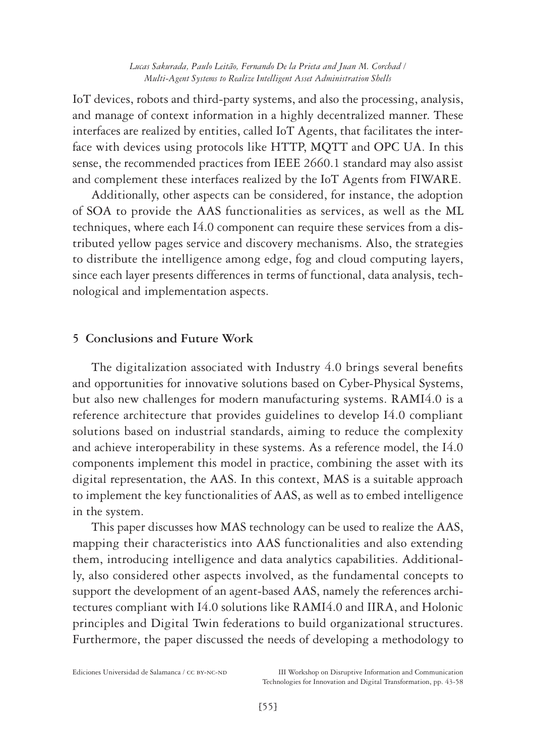IoT devices, robots and third-party systems, and also the processing, analysis, and manage of context information in a highly decentralized manner. These interfaces are realized by entities, called IoT Agents, that facilitates the interface with devices using protocols like HTTP, MQTT and OPC UA. In this sense, the recommended practices from IEEE 2660.1 standard may also assist and complement these interfaces realized by the IoT Agents from FIWARE.

Additionally, other aspects can be considered, for instance, the adoption of SOA to provide the AAS functionalities as services, as well as the ML techniques, where each I4.0 component can require these services from a distributed yellow pages service and discovery mechanisms. Also, the strategies to distribute the intelligence among edge, fog and cloud computing layers, since each layer presents differences in terms of functional, data analysis, technological and implementation aspects.

### **5 Conclusions and Future Work**

The digitalization associated with Industry 4.0 brings several benefits and opportunities for innovative solutions based on Cyber-Physical Systems, but also new challenges for modern manufacturing systems. RAMI4.0 is a reference architecture that provides guidelines to develop I4.0 compliant solutions based on industrial standards, aiming to reduce the complexity and achieve interoperability in these systems. As a reference model, the I4.0 components implement this model in practice, combining the asset with its digital representation, the AAS. In this context, MAS is a suitable approach to implement the key functionalities of AAS, as well as to embed intelligence in the system.

This paper discusses how MAS technology can be used to realize the AAS, mapping their characteristics into AAS functionalities and also extending them, introducing intelligence and data analytics capabilities. Additionally, also considered other aspects involved, as the fundamental concepts to support the development of an agent-based AAS, namely the references architectures compliant with I4.0 solutions like RAMI4.0 and IIRA, and Holonic principles and Digital Twin federations to build organizational structures. Furthermore, the paper discussed the needs of developing a methodology to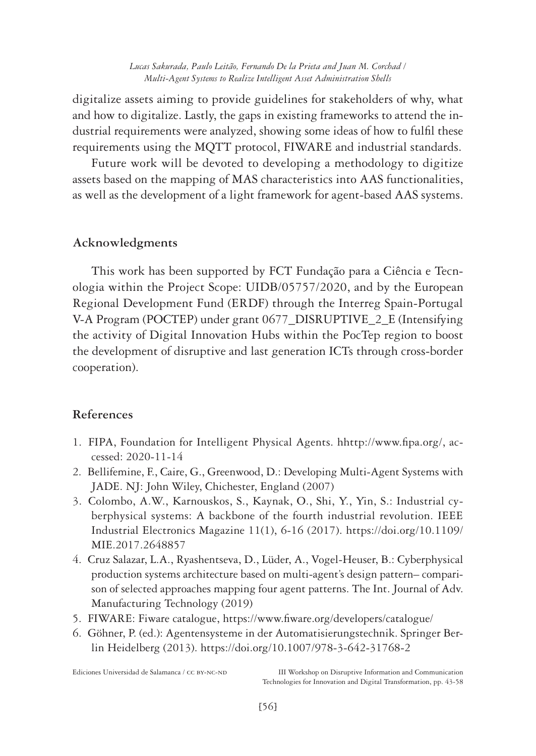digitalize assets aiming to provide guidelines for stakeholders of why, what and how to digitalize. Lastly, the gaps in existing frameworks to attend the industrial requirements were analyzed, showing some ideas of how to fulfil these requirements using the MQTT protocol, FIWARE and industrial standards.

Future work will be devoted to developing a methodology to digitize assets based on the mapping of MAS characteristics into AAS functionalities, as well as the development of a light framework for agent-based AAS systems.

### **Acknowledgments**

This work has been supported by FCT Fundação para a Ciência e Tecnologia within the Project Scope: UIDB/05757/2020, and by the European Regional Development Fund (ERDF) through the Interreg Spain-Portugal V-A Program (POCTEP) under grant 0677\_DISRUPTIVE\_2\_E (Intensifying the activity of Digital Innovation Hubs within the PocTep region to boost the development of disruptive and last generation ICTs through cross-border cooperation).

## **References**

- 1. FIPA, Foundation for Intelligent Physical Agents. [hhttp://www.fipa.org/,](hhttp://www.fipa.org/) accessed: 2020-11-14
- 2. Bellifemine, F., Caire, G., Greenwood, D.: Developing Multi-Agent Systems with JADE. NJ: John Wiley, Chichester, England (2007)
- 3. Colombo, A.W., Karnouskos, S., Kaynak, O., Shi, Y., Yin, S.: Industrial cyberphysical systems: A backbone of the fourth industrial revolution. IEEE Industrial Electronics Magazine 11(1), 6-16 (2017). [https://doi.org/10.1109/](https://doi.org/10.1109/MIE.2017.2648857) [MIE.2017.2648857](https://doi.org/10.1109/MIE.2017.2648857)
- 4. Cruz Salazar, L.A., Ryashentseva, D., Lüder, A., Vogel-Heuser, B.: Cyberphysical production systems architecture based on multi-agent's design pattern– comparison of selected approaches mapping four agent patterns. The Int. Journal of Adv. Manufacturing Technology (2019)
- 5. FIWARE: Fiware catalogue,<https://www.fiware.org/developers/catalogue/>
- 6. Göhner, P. (ed.): Agentensysteme in der Automatisierungstechnik. Springer Berlin Heidelberg (2013).<https://doi.org/10.1007/978-3-642-31768-2>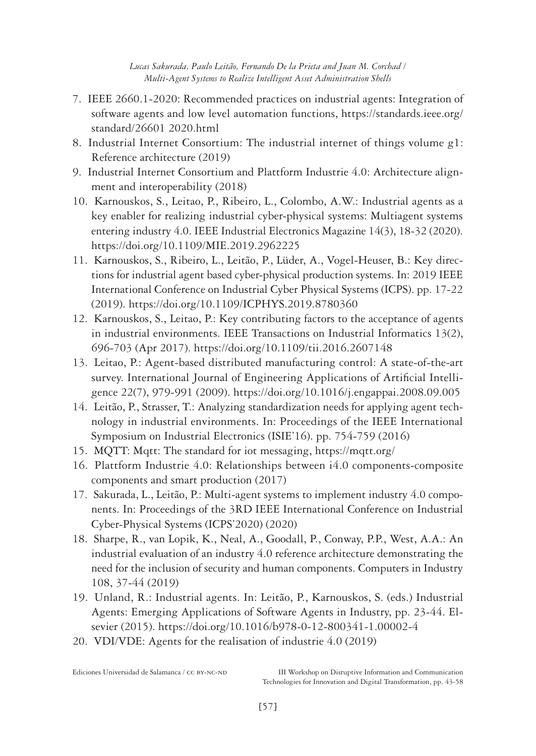- 7. IEEE 2660.1-2020: Recommended practices on industrial agents: Integration of software agents and low level automation functions, [https://standards.ieee.org/](https://standards.ieee.org/standard/26601) [standard/26601](https://standards.ieee.org/standard/26601) 2020.html
- 8. Industrial Internet Consortium: The industrial internet of things volume g1: Reference architecture (2019)
- 9. Industrial Internet Consortium and Plattform Industrie 4.0: Architecture alignment and interoperability (2018)
- 10. Karnouskos, S., Leitao, P., Ribeiro, L., Colombo, A.W.: Industrial agents as a key enabler for realizing industrial cyber-physical systems: Multiagent systems entering industry 4.0. IEEE Industrial Electronics Magazine 14(3), 18-32 (2020). <https://doi.org/10.1109/MIE.2019.2962225>
- 11. Karnouskos, S., Ribeiro, L., Leitão, P., Lüder, A., Vogel-Heuser, B.: Key directions for industrial agent based cyber-physical production systems. In: 2019 IEEE International Conference on Industrial Cyber Physical Systems (ICPS). pp. 17-22 (2019). <https://doi.org/10.1109/ICPHYS.2019.8780360>
- 12. Karnouskos, S., Leitao, P.: Key contributing factors to the acceptance of agents in industrial environments. IEEE Transactions on Industrial Informatics 13(2), 696-703 (Apr 2017).<https://doi.org/10.1109/tii.2016.2607148>
- 13. Leitao, P.: Agent-based distributed manufacturing control: A state-of-the-art survey. International Journal of Engineering Applications of Artificial Intelligence 22(7), 979-991 (2009). <https://doi.org/10.1016/j.engappai.2008.09.005>
- 14. Leitão, P., Strasser, T.: Analyzing standardization needs for applying agent technology in industrial environments. In: Proceedings of the IEEE International Symposium on Industrial Electronics (ISIE'16). pp. 754-759 (2016)
- 15. MQTT: Mqtt: The standard for iot messaging,<https://mqtt.org/>
- 16. Plattform Industrie 4.0: Relationships between i4.0 components-composite components and smart production (2017)
- 17. Sakurada, L., Leitão, P.: Multi-agent systems to implement industry 4.0 components. In: Proceedings of the 3RD IEEE International Conference on Industrial Cyber-Physical Systems (ICPS'2020) (2020)
- 18. Sharpe, R., van Lopik, K., Neal, A., Goodall, P., Conway, P.P., West, A.A.: An industrial evaluation of an industry 4.0 reference architecture demonstrating the need for the inclusion of security and human components. Computers in Industry 108, 37-44 (2019)
- 19. Unland, R.: Industrial agents. In: Leitão, P., Karnouskos, S. (eds.) Industrial Agents: Emerging Applications of Software Agents in Industry, pp. 23-44. Elsevier (2015).<https://doi.org/10.1016/b978-0-12-800341-1.00002-4>
- 20. VDI/VDE: Agents for the realisation of industrie 4.0 (2019)